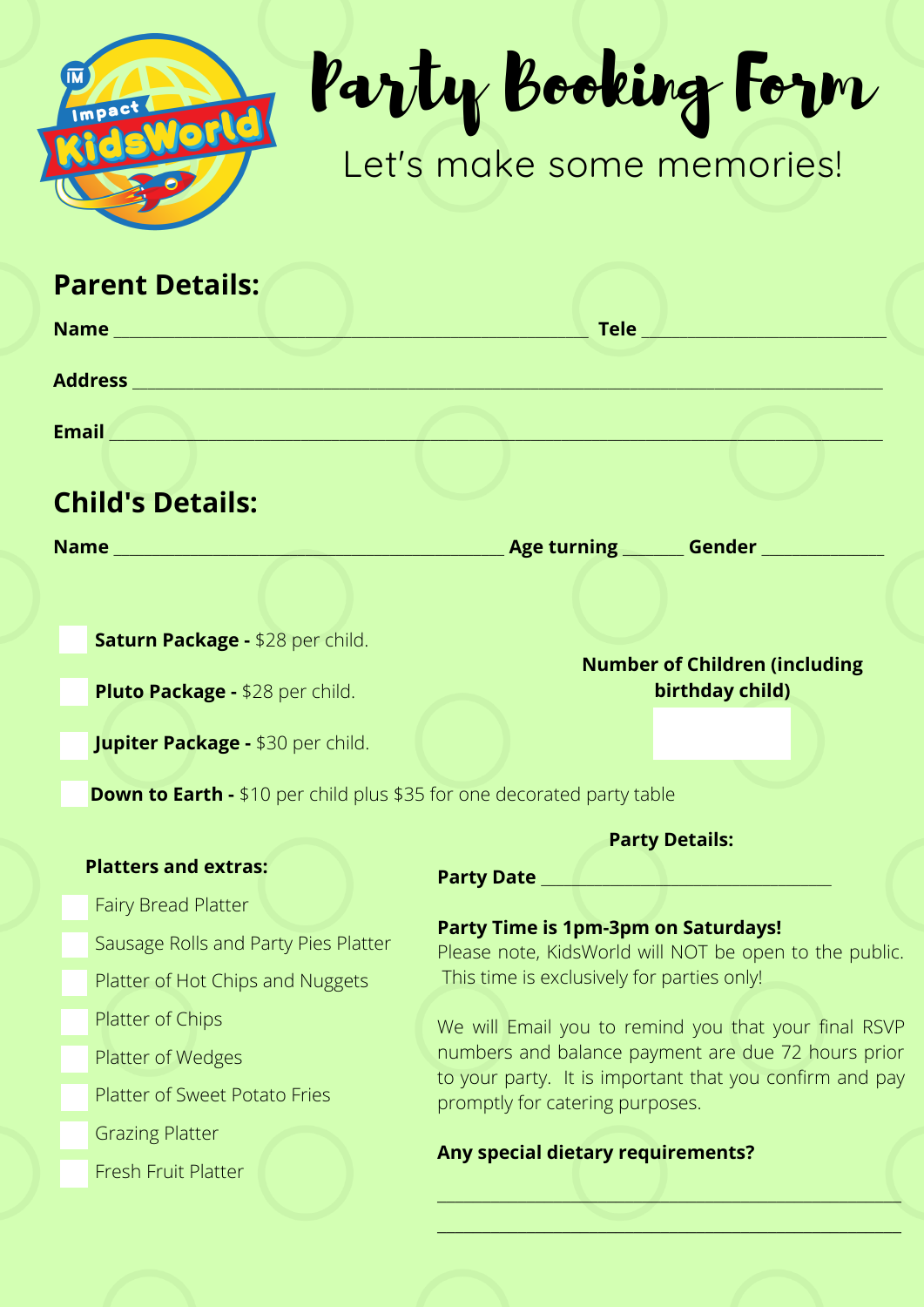

## Party Booking Form

## Let's make some memories!

 $\overline{\phantom{a}}$  , which is a set of the set of the set of the set of the set of the set of the set of the set of the set of the set of the set of the set of the set of the set of the set of the set of the set of the set of th

| <b>Parent Details:</b>                                                        |                                                                                                                                                                                                                                                                                                                                                                                                     |  |
|-------------------------------------------------------------------------------|-----------------------------------------------------------------------------------------------------------------------------------------------------------------------------------------------------------------------------------------------------------------------------------------------------------------------------------------------------------------------------------------------------|--|
|                                                                               |                                                                                                                                                                                                                                                                                                                                                                                                     |  |
|                                                                               |                                                                                                                                                                                                                                                                                                                                                                                                     |  |
|                                                                               |                                                                                                                                                                                                                                                                                                                                                                                                     |  |
|                                                                               |                                                                                                                                                                                                                                                                                                                                                                                                     |  |
| <b>Child's Details:</b>                                                       |                                                                                                                                                                                                                                                                                                                                                                                                     |  |
|                                                                               | _Age turning ________ Gender ______________                                                                                                                                                                                                                                                                                                                                                         |  |
|                                                                               |                                                                                                                                                                                                                                                                                                                                                                                                     |  |
| Saturn Package - \$28 per child.                                              | <b>Number of Children (including</b>                                                                                                                                                                                                                                                                                                                                                                |  |
| Pluto Package - \$28 per child.                                               | birthday child)                                                                                                                                                                                                                                                                                                                                                                                     |  |
| <b>Jupiter Package - \$30 per child.</b>                                      |                                                                                                                                                                                                                                                                                                                                                                                                     |  |
| <b>Down to Earth - \$10 per child plus \$35 for one decorated party table</b> |                                                                                                                                                                                                                                                                                                                                                                                                     |  |
|                                                                               | <b>Party Details:</b>                                                                                                                                                                                                                                                                                                                                                                               |  |
| <b>Platters and extras:</b>                                                   |                                                                                                                                                                                                                                                                                                                                                                                                     |  |
| <b>Fairy Bread Platter</b>                                                    |                                                                                                                                                                                                                                                                                                                                                                                                     |  |
| Sausage Rolls and Party Pies Platter                                          | <b>Party Time is 1pm-3pm on Saturdays!</b><br>Please note, KidsWorld will NOT be open to the public.<br>This time is exclusively for parties only!<br>We will Email you to remind you that your final RSVP<br>numbers and balance payment are due 72 hours prior<br>to your party. It is important that you confirm and pay<br>promptly for catering purposes.<br>Any special dietary requirements? |  |
| Platter of Hot Chips and Nuggets                                              |                                                                                                                                                                                                                                                                                                                                                                                                     |  |
| Platter of Chips                                                              |                                                                                                                                                                                                                                                                                                                                                                                                     |  |
| Platter of Wedges                                                             |                                                                                                                                                                                                                                                                                                                                                                                                     |  |
| <b>Platter of Sweet Potato Fries</b>                                          |                                                                                                                                                                                                                                                                                                                                                                                                     |  |
| <b>Grazing Platter</b>                                                        |                                                                                                                                                                                                                                                                                                                                                                                                     |  |
| <b>Fresh Fruit Platter</b>                                                    |                                                                                                                                                                                                                                                                                                                                                                                                     |  |